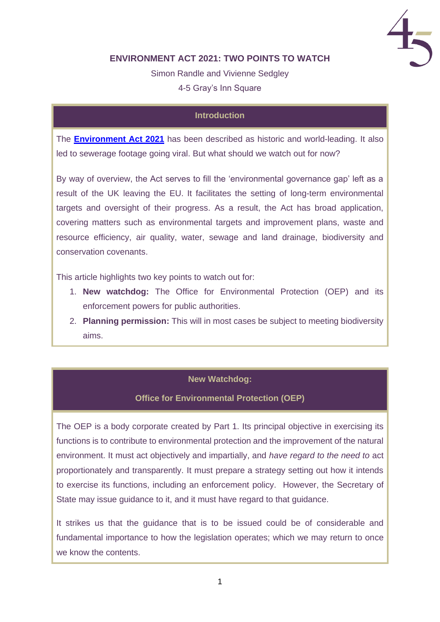

## **ENVIRONMENT ACT 2021: TWO POINTS TO WATCH**

Simon Randle and Vivienne Sedgley 4-5 Gray's Inn Square

### **Introduction**

The **[Environment Act](https://bills.parliament.uk/bills/2593) 2021** has been described as historic and world-leading. It also led to sewerage footage going viral. But what should we watch out for now?

By way of overview, the Act serves to fill the 'environmental governance gap' left as a result of the UK leaving the EU. It facilitates the setting of long-term environmental targets and oversight of their progress. As a result, the Act has broad application, covering matters such as environmental targets and improvement plans, waste and resource efficiency, air quality, water, sewage and land drainage, biodiversity and conservation covenants.

This article highlights two key points to watch out for:

- 1. **New watchdog:** The Office for Environmental Protection (OEP) and its enforcement powers for public authorities.
- 2. **Planning permission:** This will in most cases be subject to meeting biodiversity aims.

#### **New Watchdog:**

#### **Office for Environmental Protection (OEP)**

The OEP is a body corporate created by Part 1. Its principal objective in exercising its functions is to contribute to environmental protection and the improvement of the natural environment. It must act objectively and impartially, and *have regard to the need to* act proportionately and transparently. It must prepare a strategy setting out how it intends to exercise its functions, including an enforcement policy. However, the Secretary of State may issue guidance to it, and it must have regard to that guidance.

It strikes us that the guidance that is to be issued could be of considerable and fundamental importance to how the legislation operates; which we may return to once we know the contents.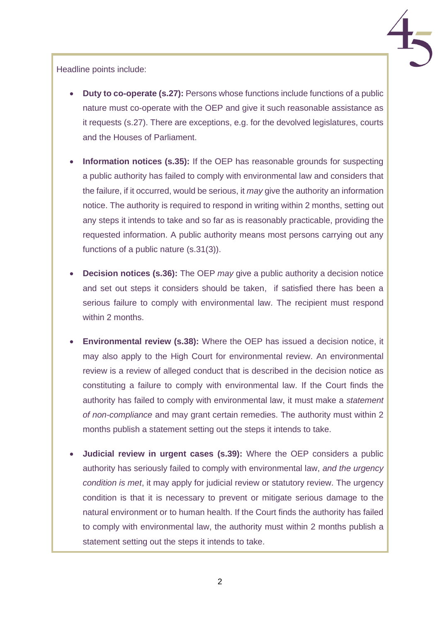

Headline points include:

- **Duty to co-operate (s.27):** Persons whose functions include functions of a public nature must co-operate with the OEP and give it such reasonable assistance as it requests (s.27). There are exceptions, e.g. for the devolved legislatures, courts and the Houses of Parliament.
- **Information notices (s.35):** If the OEP has reasonable grounds for suspecting a public authority has failed to comply with environmental law and considers that the failure, if it occurred, would be serious, it *may* give the authority an information notice. The authority is required to respond in writing within 2 months, setting out any steps it intends to take and so far as is reasonably practicable, providing the requested information. A public authority means most persons carrying out any functions of a public nature (s.31(3)).
- **Decision notices (s.36):** The OEP *may* give a public authority a decision notice and set out steps it considers should be taken, if satisfied there has been a serious failure to comply with environmental law. The recipient must respond within 2 months.
- **Environmental review (s.38):** Where the OEP has issued a decision notice, it may also apply to the High Court for environmental review. An environmental review is a review of alleged conduct that is described in the decision notice as constituting a failure to comply with environmental law. If the Court finds the authority has failed to comply with environmental law, it must make a *statement of non-compliance* and may grant certain remedies. The authority must within 2 months publish a statement setting out the steps it intends to take.
- **Judicial review in urgent cases (s.39):** Where the OEP considers a public authority has seriously failed to comply with environmental law, *and the urgency condition is met*, it may apply for judicial review or statutory review. The urgency condition is that it is necessary to prevent or mitigate serious damage to the natural environment or to human health. If the Court finds the authority has failed to comply with environmental law, the authority must within 2 months publish a statement setting out the steps it intends to take.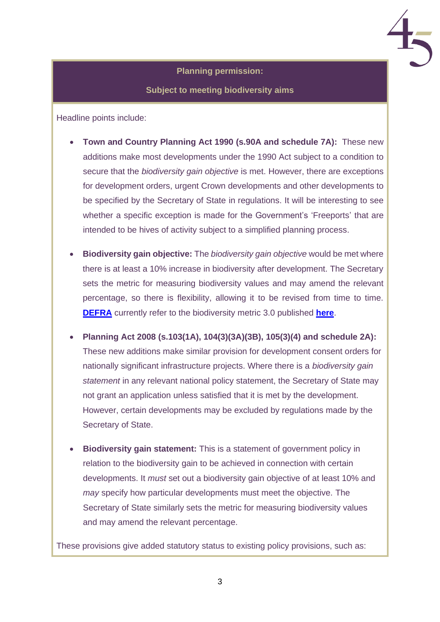#### **Planning permission:**

**Subject to meeting biodiversity aims**

Headline points include:

- **Town and Country Planning Act 1990 (s.90A and schedule 7A):** These new additions make most developments under the 1990 Act subject to a condition to secure that the *biodiversity gain objective* is met. However, there are exceptions for development orders, urgent Crown developments and other developments to be specified by the Secretary of State in regulations. It will be interesting to see whether a specific exception is made for the Government's 'Freeports' that are intended to be hives of activity subject to a simplified planning process.
- **Biodiversity gain objective:** The *biodiversity gain objective* would be met where there is at least a 10% increase in biodiversity after development. The Secretary sets the metric for measuring biodiversity values and may amend the relevant percentage, so there is flexibility, allowing it to be revised from time to time. **[DEFRA](https://www.gov.uk/guidance/biodiversity-metric-calculate-the-biodiversity-net-gain-of-a-project-or-development)** currently refer to the biodiversity metric 3.0 published **[here](http://nepubprod.appspot.com/publication/6049804846366720)**.
- **Planning Act 2008 (s.103(1A), 104(3)(3A)(3B), 105(3)(4) and schedule 2A):** These new additions make similar provision for development consent orders for nationally significant infrastructure projects. Where there is a *biodiversity gain statement* in any relevant national policy statement, the Secretary of State may not grant an application unless satisfied that it is met by the development. However, certain developments may be excluded by regulations made by the Secretary of State.
- **Biodiversity gain statement:** This is a statement of government policy in relation to the biodiversity gain to be achieved in connection with certain developments. It *must* set out a biodiversity gain objective of at least 10% and *may* specify how particular developments must meet the objective. The Secretary of State similarly sets the metric for measuring biodiversity values and may amend the relevant percentage.

These provisions give added statutory status to existing policy provisions, such as: